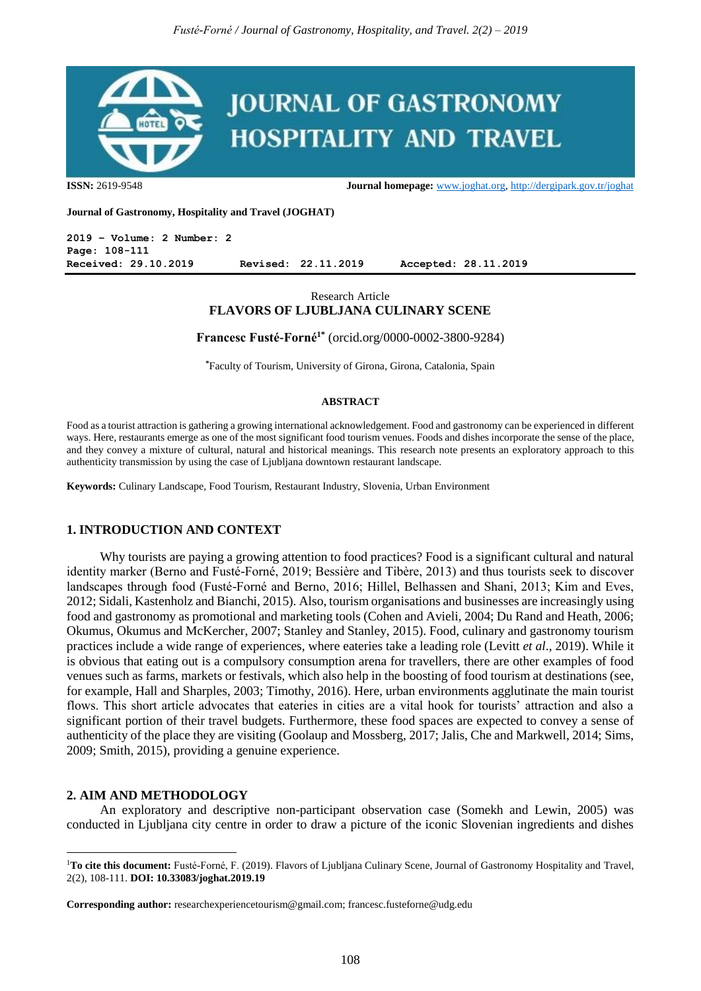

**ISSN:** 2619-9548 **Journal homepage:** [www.joghat.org,](http://www.joghat.org/)<http://dergipark.gov.tr/joghat>

**Journal of Gastronomy, Hospitality and Travel (JOGHAT)**

**2019 – Volume: 2 Number: 2 Page: 108-111 Received: 29.10.2019 Revised: 22.11.2019 Accepted: 28.11.2019**

# Research Article **FLAVORS OF LJUBLJANA CULINARY SCENE**

**Francesc Fusté-Forné1\*** (orcid.org/0000-0002-3800-9284)

**\***Faculty of Tourism, University of Girona, Girona, Catalonia, Spain

#### **ABSTRACT**

Food as a tourist attraction is gathering a growing international acknowledgement. Food and gastronomy can be experienced in different ways. Here, restaurants emerge as one of the most significant food tourism venues. Foods and dishes incorporate the sense of the place, and they convey a mixture of cultural, natural and historical meanings. This research note presents an exploratory approach to this authenticity transmission by using the case of Ljubljana downtown restaurant landscape.

**Keywords:** Culinary Landscape, Food Tourism, Restaurant Industry, Slovenia, Urban Environment

## **1. INTRODUCTION AND CONTEXT**

Why tourists are paying a growing attention to food practices? Food is a significant cultural and natural identity marker (Berno and Fusté-Forné, 2019; Bessière and Tibère, 2013) and thus tourists seek to discover landscapes through food (Fusté-Forné and Berno, 2016; Hillel, Belhassen and Shani, 2013; Kim and Eves, 2012; Sidali, Kastenholz and Bianchi, 2015). Also, tourism organisations and businesses are increasingly using food and gastronomy as promotional and marketing tools (Cohen and Avieli, 2004; Du Rand and Heath, 2006; Okumus, Okumus and McKercher, 2007; Stanley and Stanley, 2015). Food, culinary and gastronomy tourism practices include a wide range of experiences, where eateries take a leading role (Levitt *et al*., 2019). While it is obvious that eating out is a compulsory consumption arena for travellers, there are other examples of food venues such as farms, markets or festivals, which also help in the boosting of food tourism at destinations (see, for example, Hall and Sharples, 2003; Timothy, 2016). Here, urban environments agglutinate the main tourist flows. This short article advocates that eateries in cities are a vital hook for tourists' attraction and also a significant portion of their travel budgets. Furthermore, these food spaces are expected to convey a sense of authenticity of the place they are visiting (Goolaup and Mossberg, 2017; Jalis, Che and Markwell, 2014; Sims, 2009; Smith, 2015), providing a genuine experience.

#### **2. AIM AND METHODOLOGY**

 $\overline{a}$ 

An exploratory and descriptive non-participant observation case (Somekh and Lewin, 2005) was conducted in Ljubljana city centre in order to draw a picture of the iconic Slovenian ingredients and dishes

<sup>&</sup>lt;sup>1</sup>To cite this document: Fusté-Forné, F. (2019). Flavors of Ljubljana Culinary Scene, Journal of Gastronomy Hospitality and Travel, 2(2), 108-111. **DOI: 10.33083/joghat.2019.19**

**Corresponding author:** researchexperiencetourism@gmail.com; francesc.fusteforne@udg.edu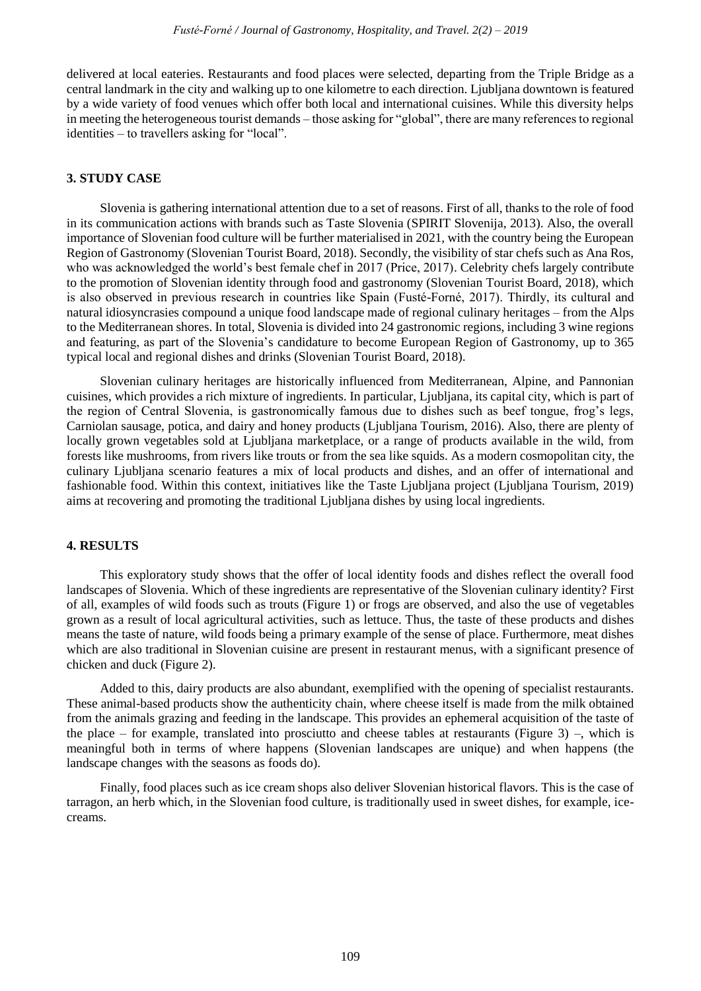delivered at local eateries. Restaurants and food places were selected, departing from the Triple Bridge as a central landmark in the city and walking up to one kilometre to each direction. Ljubljana downtown is featured by a wide variety of food venues which offer both local and international cuisines. While this diversity helps in meeting the heterogeneous tourist demands – those asking for "global", there are many references to regional identities – to travellers asking for "local".

## **3. STUDY CASE**

Slovenia is gathering international attention due to a set of reasons. First of all, thanks to the role of food in its communication actions with brands such as Taste Slovenia (SPIRIT Slovenija, 2013). Also, the overall importance of Slovenian food culture will be further materialised in 2021, with the country being the European Region of Gastronomy (Slovenian Tourist Board, 2018). Secondly, the visibility of star chefs such as Ana Ros, who was acknowledged the world's best female chef in 2017 (Price, 2017). Celebrity chefs largely contribute to the promotion of Slovenian identity through food and gastronomy (Slovenian Tourist Board, 2018), which is also observed in previous research in countries like Spain (Fusté-Forné, 2017). Thirdly, its cultural and natural idiosyncrasies compound a unique food landscape made of regional culinary heritages – from the Alps to the Mediterranean shores. In total, Slovenia is divided into 24 gastronomic regions, including 3 wine regions and featuring, as part of the Slovenia's candidature to become European Region of Gastronomy, up to 365 typical local and regional dishes and drinks (Slovenian Tourist Board, 2018).

Slovenian culinary heritages are historically influenced from Mediterranean, Alpine, and Pannonian cuisines, which provides a rich mixture of ingredients. In particular, Ljubljana, its capital city, which is part of the region of Central Slovenia, is gastronomically famous due to dishes such as beef tongue, frog's legs, Carniolan sausage, potica, and dairy and honey products (Ljubljana Tourism, 2016). Also, there are plenty of locally grown vegetables sold at Ljubljana marketplace, or a range of products available in the wild, from forests like mushrooms, from rivers like trouts or from the sea like squids. As a modern cosmopolitan city, the culinary Ljubljana scenario features a mix of local products and dishes, and an offer of international and fashionable food. Within this context, initiatives like the Taste Ljubljana project (Ljubljana Tourism, 2019) aims at recovering and promoting the traditional Ljubljana dishes by using local ingredients.

### **4. RESULTS**

This exploratory study shows that the offer of local identity foods and dishes reflect the overall food landscapes of Slovenia. Which of these ingredients are representative of the Slovenian culinary identity? First of all, examples of wild foods such as trouts (Figure 1) or frogs are observed, and also the use of vegetables grown as a result of local agricultural activities, such as lettuce. Thus, the taste of these products and dishes means the taste of nature, wild foods being a primary example of the sense of place. Furthermore, meat dishes which are also traditional in Slovenian cuisine are present in restaurant menus, with a significant presence of chicken and duck (Figure 2).

Added to this, dairy products are also abundant, exemplified with the opening of specialist restaurants. These animal-based products show the authenticity chain, where cheese itself is made from the milk obtained from the animals grazing and feeding in the landscape. This provides an ephemeral acquisition of the taste of the place – for example, translated into prosciutto and cheese tables at restaurants (Figure 3) –, which is meaningful both in terms of where happens (Slovenian landscapes are unique) and when happens (the landscape changes with the seasons as foods do).

Finally, food places such as ice cream shops also deliver Slovenian historical flavors. This is the case of tarragon, an herb which, in the Slovenian food culture, is traditionally used in sweet dishes, for example, icecreams.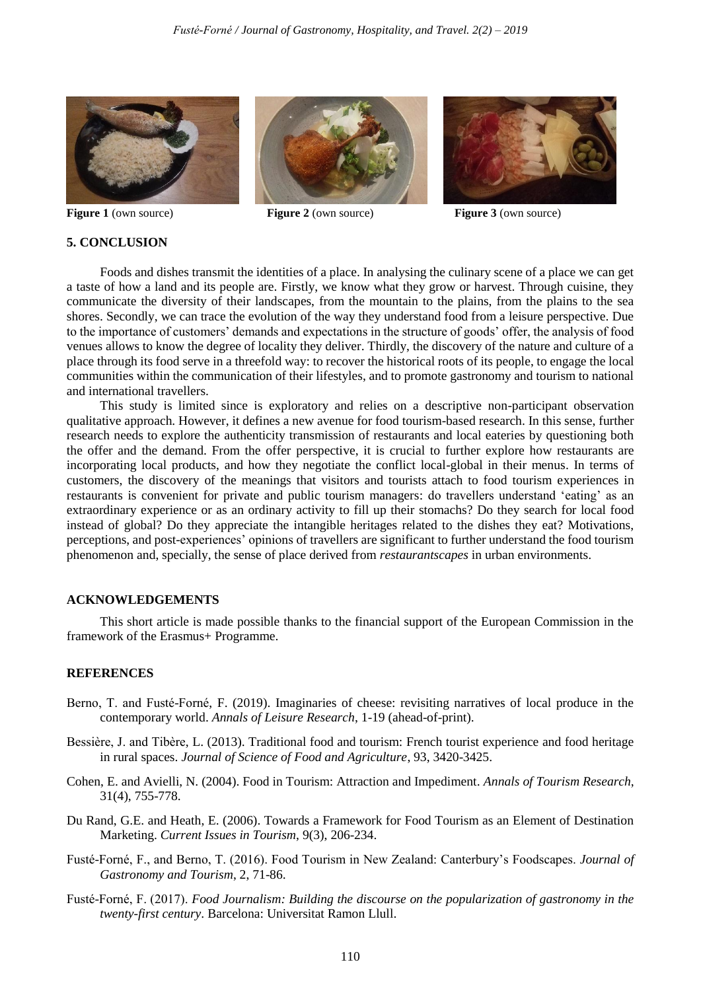





**Figure 1** (own source) **Figure 2** (own source) **Figure 3** (own source)

# **5. CONCLUSION**

Foods and dishes transmit the identities of a place. In analysing the culinary scene of a place we can get a taste of how a land and its people are. Firstly, we know what they grow or harvest. Through cuisine, they communicate the diversity of their landscapes, from the mountain to the plains, from the plains to the sea shores. Secondly, we can trace the evolution of the way they understand food from a leisure perspective. Due to the importance of customers' demands and expectations in the structure of goods' offer, the analysis of food venues allows to know the degree of locality they deliver. Thirdly, the discovery of the nature and culture of a place through its food serve in a threefold way: to recover the historical roots of its people, to engage the local communities within the communication of their lifestyles, and to promote gastronomy and tourism to national and international travellers.

This study is limited since is exploratory and relies on a descriptive non-participant observation qualitative approach. However, it defines a new avenue for food tourism-based research. In this sense, further research needs to explore the authenticity transmission of restaurants and local eateries by questioning both the offer and the demand. From the offer perspective, it is crucial to further explore how restaurants are incorporating local products, and how they negotiate the conflict local-global in their menus. In terms of customers, the discovery of the meanings that visitors and tourists attach to food tourism experiences in restaurants is convenient for private and public tourism managers: do travellers understand 'eating' as an extraordinary experience or as an ordinary activity to fill up their stomachs? Do they search for local food instead of global? Do they appreciate the intangible heritages related to the dishes they eat? Motivations, perceptions, and post-experiences' opinions of travellers are significant to further understand the food tourism phenomenon and, specially, the sense of place derived from *restaurantscapes* in urban environments.

# **ACKNOWLEDGEMENTS**

This short article is made possible thanks to the financial support of the European Commission in the framework of the Erasmus+ Programme.

### **REFERENCES**

- Berno, T. and Fusté-Forné, F. (2019). Imaginaries of cheese: revisiting narratives of local produce in the contemporary world. *Annals of Leisure Research*, 1-19 (ahead-of-print).
- Bessière, J. and Tibère, L. (2013). Traditional food and tourism: French tourist experience and food heritage in rural spaces. *Journal of Science of Food and Agriculture*, 93, 3420-3425.
- Cohen, E. and Avielli, N. (2004). Food in Tourism: Attraction and Impediment. *Annals of Tourism Research*, 31(4), 755-778.
- Du Rand, G.E. and Heath, E. (2006). Towards a Framework for Food Tourism as an Element of Destination Marketing. *Current Issues in Tourism*, 9(3), 206-234.
- Fusté-Forné, F., and Berno, T. (2016). Food Tourism in New Zealand: Canterbury's Foodscapes. *Journal of Gastronomy and Tourism*, 2, 71-86.
- Fusté-Forné, F. (2017). *Food Journalism: Building the discourse on the popularization of gastronomy in the twenty-first century*. Barcelona: Universitat Ramon Llull.